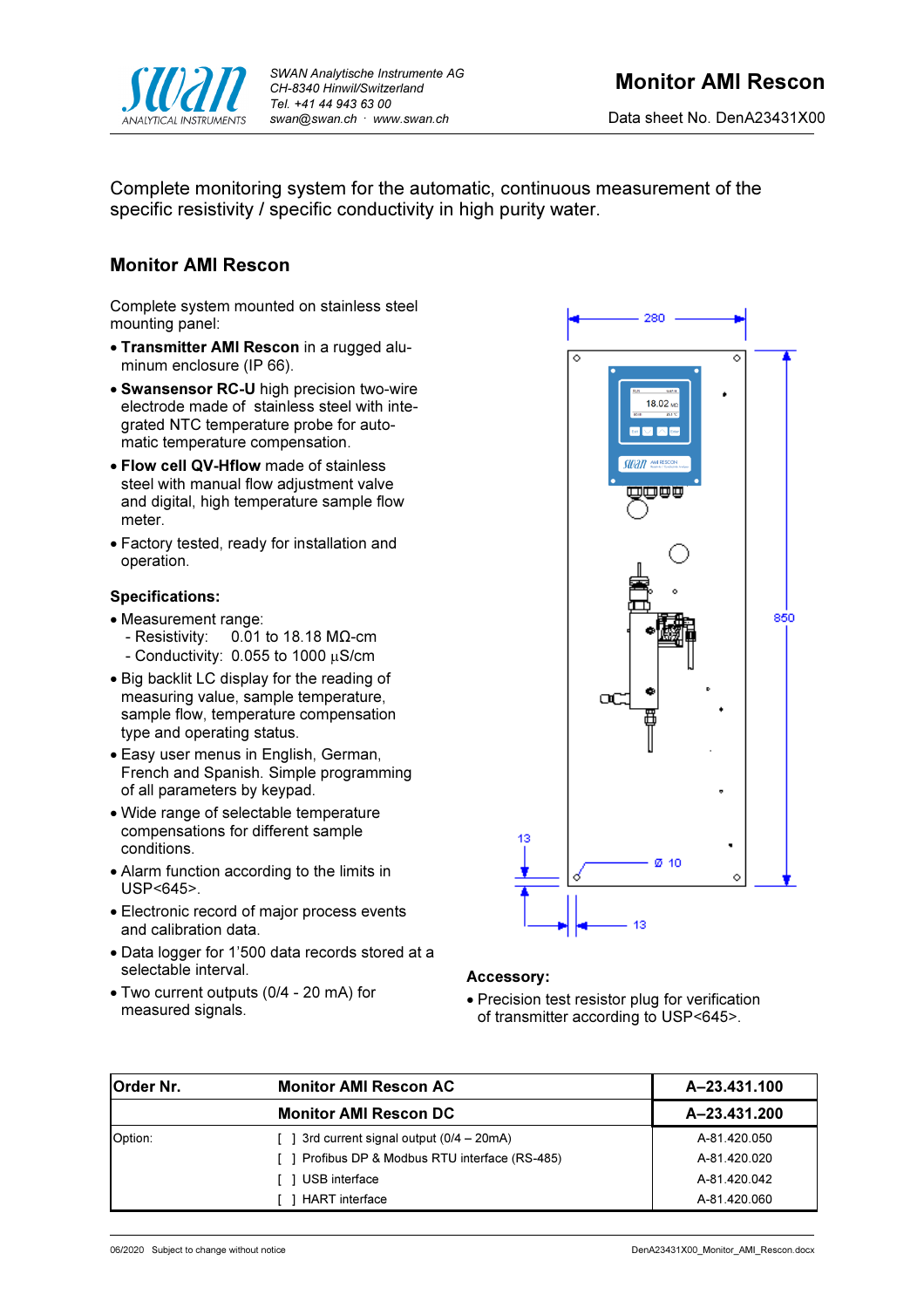

Complete monitoring system for the automatic, continuous measurement of the specific resistivity / specific conductivity in high purity water.

# Monitor AMI Rescon

Complete system mounted on stainless steel mounting panel:

- Transmitter AMI Rescon in a rugged aluminum enclosure (IP 66).
- Swansensor RC-U high precision two-wire electrode made of stainless steel with integrated NTC temperature probe for automatic temperature compensation.
- Flow cell QV-Hflow made of stainless steel with manual flow adjustment valve and digital, high temperature sample flow meter.
- Factory tested, ready for installation and operation.

## Specifications:

- 
- Measurement range:<br>Resistivity: 0.01  $0.01$  to 18.18 MΩ-cm  $-$  Conductivity: 0.055 to 1000  $\mu$ S/cm
- Big backlit LC display for the reading of measuring value, sample temperature, sample flow, temperature compensation type and operating status.
- Easy user menus in English, German, French and Spanish. Simple programming of all parameters by keypad.
- Wide range of selectable temperature compensations for different sample conditions.
- Alarm function according to the limits in USP<645>.
- Electronic record of major process events and calibration data.
- Data logger for 1'500 data records stored at a selectable interval.
- Two current outputs (0/4 20 mA) for measured signals.



## Accessory:

 Precision test resistor plug for verification of transmitter according to USP<645>.

| <b>Order Nr.</b> | <b>Monitor AMI Rescon AC</b>                    | A-23.431.100 |
|------------------|-------------------------------------------------|--------------|
|                  | <b>Monitor AMI Rescon DC</b>                    | A-23.431.200 |
| Option:          | 3rd current signal output (0/4 – 20mA)          | A-81.420.050 |
|                  | [ ] Profibus DP & Modbus RTU interface (RS-485) | A-81.420.020 |
|                  | USB interface                                   | A-81.420.042 |
|                  | <b>HART</b> interface                           | A-81.420.060 |